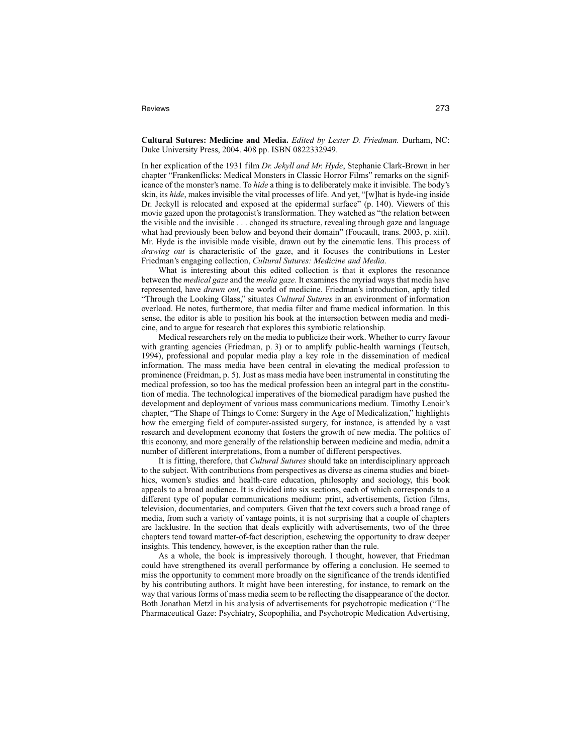## Reviews 273

**Cultural Sutures: Medicine and Media.** *Edited by Lester D. Friedman.* Durham, NC: Duke University Press, 2004. 408 pp. ISBN 0822332949.

In her explication of the 1931 film *Dr. Jekyll and Mr. Hyde*, Stephanie Clark-Brown in her chapter "Frankenflicks: Medical Monsters in Classic Horror Films" remarks on the significance of the monster's name. To *hide* a thing is to deliberately make it invisible. The body's skin, its *hide*, makes invisible the vital processes of life. And yet, "[w]hat is hyde-ing inside Dr. Jeckyll is relocated and exposed at the epidermal surface" (p. 140). Viewers of this movie gazed upon the protagonist's transformation. They watched as "the relation between the visible and the invisible . . . changed its structure, revealing through gaze and language what had previously been below and beyond their domain" (Foucault, trans. 2003, p. xiii). Mr. Hyde is the invisible made visible, drawn out by the cinematic lens. This process of *drawing out* is characteristic of the gaze, and it focuses the contributions in Lester Friedman's engaging collection, *Cultural Sutures: Medicine and Media*.

What is interesting about this edited collection is that it explores the resonance between the *medical gaze* and the *media gaze*. It examines the myriad ways that media have represented, have *drawn out,* the world of medicine. Friedman's introduction, aptly titled "Through the Looking Glass," situates *Cultural Sutures* in an environment of information overload. He notes, furthermore, that media filter and frame medical information. In this sense, the editor is able to position his book at the intersection between media and medicine, and to argue for research that explores this symbiotic relationship.

Medical researchers rely on the media to publicize their work. Whether to curry favour with granting agencies (Friedman, p. 3) or to amplify public-health warnings (Teutsch, 1994), professional and popular media play a key role in the dissemination of medical information. The mass media have been central in elevating the medical profession to prominence (Freidman, p. 5). Just as mass media have been instrumental in constituting the medical profession, so too has the medical profession been an integral part in the constitution of media. The technological imperatives of the biomedical paradigm have pushed the development and deployment of various mass communications medium. Timothy Lenoir's chapter, "The Shape of Things to Come: Surgery in the Age of Medicalization," highlights how the emerging field of computer-assisted surgery, for instance, is attended by a vast research and development economy that fosters the growth of new media. The politics of this economy, and more generally of the relationship between medicine and media, admit a number of different interpretations, from a number of different perspectives.

It is fitting, therefore, that *Cultural Sutures* should take an interdisciplinary approach to the subject. With contributions from perspectives as diverse as cinema studies and bioethics, women's studies and health-care education, philosophy and sociology, this book appeals to a broad audience. It is divided into six sections, each of which corresponds to a different type of popular communications medium: print, advertisements, fiction films, television, documentaries, and computers. Given that the text covers such a broad range of media, from such a variety of vantage points, it is not surprising that a couple of chapters are lacklustre. In the section that deals explicitly with advertisements, two of the three chapters tend toward matter-of-fact description, eschewing the opportunity to draw deeper insights. This tendency, however, is the exception rather than the rule.

As a whole, the book is impressively thorough. I thought, however, that Friedman could have strengthened its overall performance by offering a conclusion. He seemed to miss the opportunity to comment more broadly on the significance of the trends identified by his contributing authors. It might have been interesting, for instance, to remark on the way that various forms of mass media seem to be reflecting the disappearance of the doctor. Both Jonathan Metzl in his analysis of advertisements for psychotropic medication ("The Pharmaceutical Gaze: Psychiatry, Scopophilia, and Psychotropic Medication Advertising,